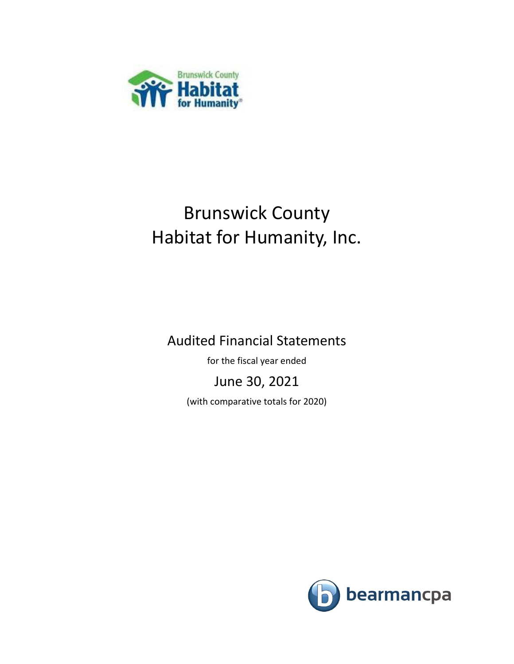

Audited Financial Statements

for the fiscal year ended

June 30, 2021

(with comparative totals for 2020)

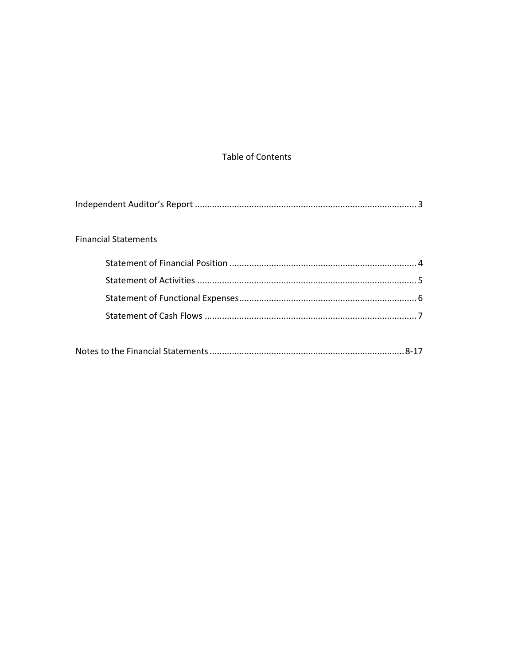### Table of Contents

| <b>Financial Statements</b> |
|-----------------------------|
|                             |
|                             |
|                             |
|                             |
|                             |
|                             |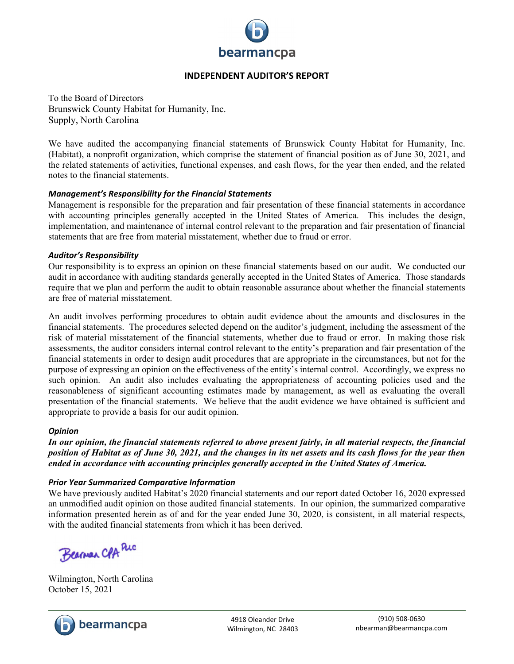

#### **INDEPENDENT AUDITOR'S REPORT**

To the Board of Directors Brunswick County Habitat for Humanity, Inc. Supply, North Carolina

We have audited the accompanying financial statements of Brunswick County Habitat for Humanity, Inc. (Habitat), a nonprofit organization, which comprise the statement of financial position as of June 30, 2021, and the related statements of activities, functional expenses, and cash flows, for the year then ended, and the related notes to the financial statements.

#### *Management's Responsibility for the Financial Statements*

Management is responsible for the preparation and fair presentation of these financial statements in accordance with accounting principles generally accepted in the United States of America. This includes the design, implementation, and maintenance of internal control relevant to the preparation and fair presentation of financial statements that are free from material misstatement, whether due to fraud or error.

#### *Auditor's Responsibility*

Our responsibility is to express an opinion on these financial statements based on our audit. We conducted our audit in accordance with auditing standards generally accepted in the United States of America. Those standards require that we plan and perform the audit to obtain reasonable assurance about whether the financial statements are free of material misstatement.

An audit involves performing procedures to obtain audit evidence about the amounts and disclosures in the financial statements. The procedures selected depend on the auditor's judgment, including the assessment of the risk of material misstatement of the financial statements, whether due to fraud or error. In making those risk assessments, the auditor considers internal control relevant to the entity's preparation and fair presentation of the financial statements in order to design audit procedures that are appropriate in the circumstances, but not for the purpose of expressing an opinion on the effectiveness of the entity's internal control. Accordingly, we express no such opinion. An audit also includes evaluating the appropriateness of accounting policies used and the reasonableness of significant accounting estimates made by management, as well as evaluating the overall presentation of the financial statements. We believe that the audit evidence we have obtained is sufficient and appropriate to provide a basis for our audit opinion.

#### *Opinion*

*In our opinion, the financial statements referred to above present fairly, in all material respects, the financial position of Habitat as of June 30, 2021, and the changes in its net assets and its cash flows for the year then ended in accordance with accounting principles generally accepted in the United States of America.*

#### *Prior Year Summarized Comparative Information*

We have previously audited Habitat's 2020 financial statements and our report dated October 16, 2020 expressed an unmodified audit opinion on those audited financial statements. In our opinion, the summarized comparative information presented herein as of and for the year ended June 30, 2020, is consistent, in all material respects, with the audited financial statements from which it has been derived.

Bearman CPA Puc

Wilmington, North Carolina October 15, 2021

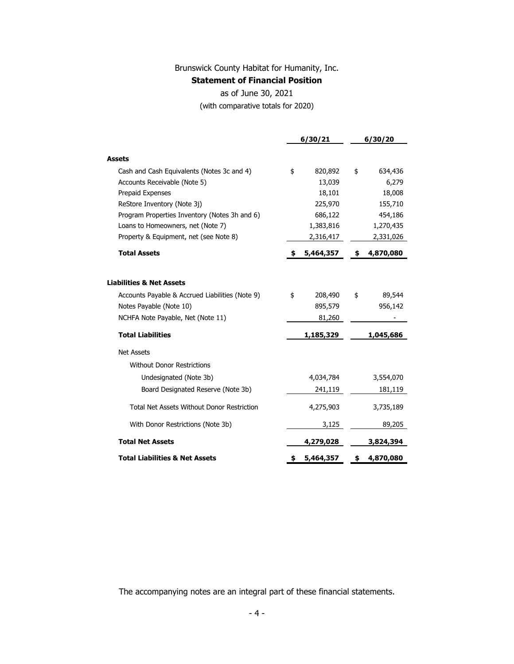#### **Statement of Financial Position**

#### as of June 30, 2021

(with comparative totals for 2020)

|                                                   | 6/30/21          | 6/30/20         |
|---------------------------------------------------|------------------|-----------------|
| <b>Assets</b>                                     |                  |                 |
| Cash and Cash Equivalents (Notes 3c and 4)        | \$<br>820,892    | \$<br>634,436   |
| Accounts Receivable (Note 5)                      | 13,039           | 6,279           |
| Prepaid Expenses                                  | 18,101           | 18,008          |
| ReStore Inventory (Note 3j)                       | 225,970          | 155,710         |
| Program Properties Inventory (Notes 3h and 6)     | 686,122          | 454,186         |
| Loans to Homeowners, net (Note 7)                 | 1,383,816        | 1,270,435       |
| Property & Equipment, net (see Note 8)            | 2,316,417        | 2,331,026       |
| <b>Total Assets</b>                               | \$<br>5,464,357  | \$<br>4,870,080 |
|                                                   |                  |                 |
| <b>Liabilities &amp; Net Assets</b>               |                  |                 |
| Accounts Payable & Accrued Liabilities (Note 9)   | \$<br>208,490    | \$<br>89,544    |
| Notes Payable (Note 10)                           | 895,579          | 956,142         |
| NCHFA Note Payable, Net (Note 11)                 | 81,260           |                 |
| <b>Total Liabilities</b>                          | <u>1,185,329</u> | 1,045,686       |
| <b>Net Assets</b>                                 |                  |                 |
| <b>Without Donor Restrictions</b>                 |                  |                 |
| Undesignated (Note 3b)                            | 4,034,784        | 3,554,070       |
| Board Designated Reserve (Note 3b)                | 241,119          | 181,119         |
| <b>Total Net Assets Without Donor Restriction</b> | 4,275,903        | 3,735,189       |
| With Donor Restrictions (Note 3b)                 | 3,125            | 89,205          |
| <b>Total Net Assets</b>                           | 4,279,028        | 3,824,394       |
| <b>Total Liabilities &amp; Net Assets</b>         | \$<br>5,464,357  | \$<br>4,870,080 |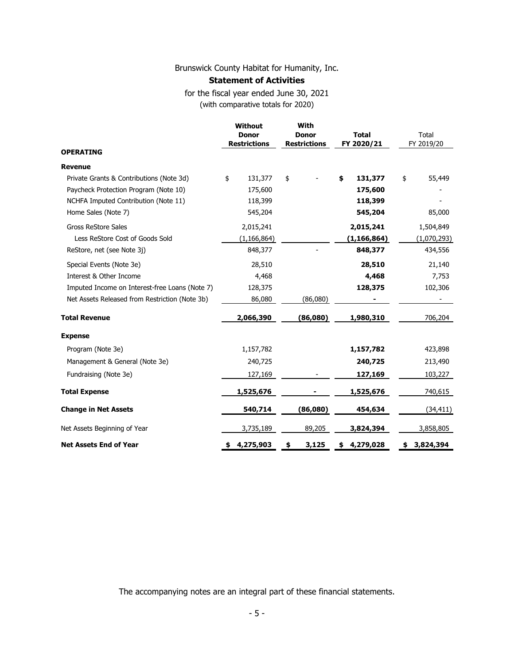#### **Statement of Activities**

for the fiscal year ended June 30, 2021 (with comparative totals for 2020)

| <b>OPERATING</b>                               | <b>Without</b><br><b>Donor</b><br><b>Restrictions</b> | With<br><b>Donor</b><br><b>Restrictions</b> | <b>Total</b><br>FY 2020/21 | Total<br>FY 2019/20 |
|------------------------------------------------|-------------------------------------------------------|---------------------------------------------|----------------------------|---------------------|
| <b>Revenue</b>                                 |                                                       |                                             |                            |                     |
| Private Grants & Contributions (Note 3d)       | \$<br>131,377                                         | \$                                          | \$<br>131,377              | \$<br>55,449        |
| Paycheck Protection Program (Note 10)          | 175,600                                               |                                             | 175,600                    |                     |
| NCHFA Imputed Contribution (Note 11)           | 118,399                                               |                                             | 118,399                    |                     |
| Home Sales (Note 7)                            | 545,204                                               |                                             | 545,204                    | 85,000              |
| <b>Gross ReStore Sales</b>                     | 2,015,241                                             |                                             | 2,015,241                  | 1,504,849           |
| Less ReStore Cost of Goods Sold                | (1, 166, 864)                                         |                                             | (1, 166, 864)              | (1,070,293)         |
| ReStore, net (see Note 3j)                     | 848,377                                               |                                             | 848,377                    | 434,556             |
| Special Events (Note 3e)                       | 28,510                                                |                                             | 28,510                     | 21,140              |
| Interest & Other Income                        | 4,468                                                 |                                             | 4,468                      | 7,753               |
| Imputed Income on Interest-free Loans (Note 7) | 128,375                                               |                                             | 128,375                    | 102,306             |
| Net Assets Released from Restriction (Note 3b) | 86,080                                                | (86,080)                                    |                            |                     |
| <b>Total Revenue</b>                           | 2,066,390                                             | (86,080)                                    | 1,980,310                  | 706,204             |
| <b>Expense</b>                                 |                                                       |                                             |                            |                     |
| Program (Note 3e)                              | 1,157,782                                             |                                             | 1,157,782                  | 423,898             |
| Management & General (Note 3e)                 | 240,725                                               |                                             | 240,725                    | 213,490             |
| Fundraising (Note 3e)                          | 127,169                                               |                                             | 127,169                    | 103,227             |
| <b>Total Expense</b>                           | 1,525,676                                             |                                             | 1,525,676                  | 740,615             |
| <b>Change in Net Assets</b>                    | 540,714                                               | (86,080)                                    | 454,634                    | (34, 411)           |
| Net Assets Beginning of Year                   | 3,735,189                                             | 89,205                                      | 3,824,394                  | 3,858,805           |
| <b>Net Assets End of Year</b>                  | 4,275,903<br>\$                                       | 3,125<br>\$                                 | 4,279,028<br>\$            | 3,824,394<br>\$     |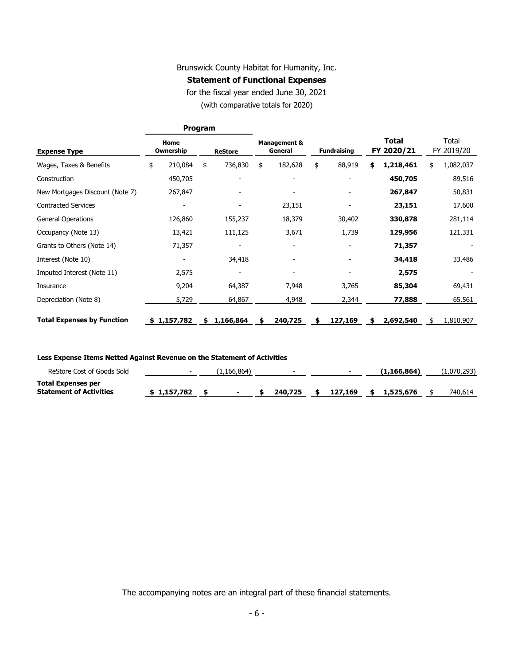#### **Statement of Functional Expenses**

for the fiscal year ended June 30, 2021

(with comparative totals for 2020)

|                                   | Program |                   |    |                          |    |                                    |    |                    |    |                            |    |                     |
|-----------------------------------|---------|-------------------|----|--------------------------|----|------------------------------------|----|--------------------|----|----------------------------|----|---------------------|
| <b>Expense Type</b>               |         | Home<br>Ownership |    | <b>ReStore</b>           |    | <b>Management &amp;</b><br>General |    | <b>Fundraising</b> |    | <b>Total</b><br>FY 2020/21 |    | Total<br>FY 2019/20 |
| Wages, Taxes & Benefits           | \$      | 210,084           | \$ | 736,830                  | \$ | 182,628                            | \$ | 88,919             | \$ | 1,218,461                  | \$ | 1,082,037           |
| Construction                      |         | 450,705           |    |                          |    |                                    |    |                    |    | 450,705                    |    | 89,516              |
| New Mortgages Discount (Note 7)   |         | 267,847           |    |                          |    |                                    |    |                    |    | 267,847                    |    | 50,831              |
| <b>Contracted Services</b>        |         |                   |    |                          |    | 23,151                             |    |                    |    | 23,151                     |    | 17,600              |
| <b>General Operations</b>         |         | 126,860           |    | 155,237                  |    | 18,379                             |    | 30,402             |    | 330,878                    |    | 281,114             |
| Occupancy (Note 13)               |         | 13,421            |    | 111,125                  |    | 3,671                              |    | 1,739              |    | 129,956                    |    | 121,331             |
| Grants to Others (Note 14)        |         | 71,357            |    | $\overline{\phantom{a}}$ |    |                                    |    |                    |    | 71,357                     |    |                     |
| Interest (Note 10)                |         |                   |    | 34,418                   |    |                                    |    |                    |    | 34,418                     |    | 33,486              |
| Imputed Interest (Note 11)        |         | 2,575             |    | $\overline{\phantom{0}}$ |    |                                    |    |                    |    | 2,575                      |    |                     |
| Insurance                         |         | 9,204             |    | 64,387                   |    | 7,948                              |    | 3,765              |    | 85,304                     |    | 69,431              |
| Depreciation (Note 8)             |         | 5,729             |    | 64,867                   |    | 4,948                              |    | 2,344              |    | 77,888                     |    | 65,561              |
| <b>Total Expenses by Function</b> |         | \$1,157,782       | S. | 1,166,864                | S  | 240,725                            |    | 127,169            | S  | 2,692,540                  | S  | 1,810,907           |

| Less Expense Items Netted Against Revenue on the Statement of Activities |                          |             |                          |             |             |
|--------------------------------------------------------------------------|--------------------------|-------------|--------------------------|-------------|-------------|
| ReStore Cost of Goods Sold                                               | $\overline{\phantom{0}}$ | (1.166.864) | $\overline{\phantom{0}}$ | (1.166.864) | (1.070.293) |

| <b>Total Expenses per</b>      |             |  |         |  |                             |         |
|--------------------------------|-------------|--|---------|--|-----------------------------|---------|
| <b>Statement of Activities</b> | \$1.157.782 |  | 240,725 |  | $\frac{127.169}{1.525.676}$ | 740.614 |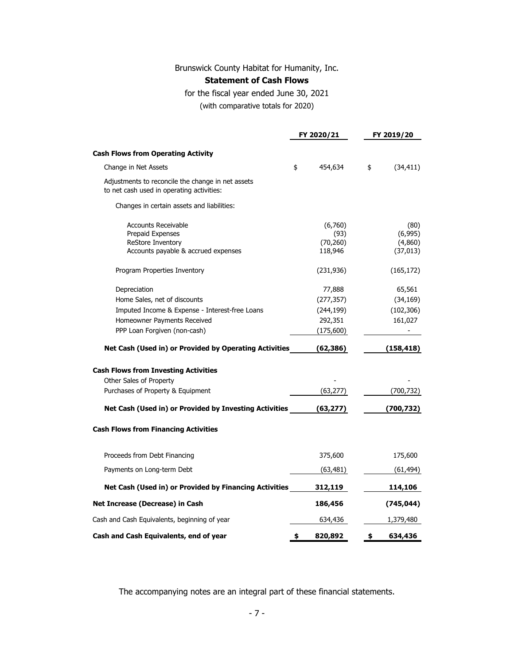#### **Statement of Cash Flows**

for the fiscal year ended June 30, 2021

(with comparative totals for 2020)

|                                                                                                | FY 2020/21 |                      | FY 2019/20 |                      |  |
|------------------------------------------------------------------------------------------------|------------|----------------------|------------|----------------------|--|
| <b>Cash Flows from Operating Activity</b>                                                      |            |                      |            |                      |  |
| Change in Net Assets                                                                           | \$         | 454,634              | \$         | (34,411)             |  |
| Adjustments to reconcile the change in net assets<br>to net cash used in operating activities: |            |                      |            |                      |  |
| Changes in certain assets and liabilities:                                                     |            |                      |            |                      |  |
| <b>Accounts Receivable</b>                                                                     |            | (6,760)              |            | (80)                 |  |
| <b>Prepaid Expenses</b>                                                                        |            | (93)                 |            | (6,995)              |  |
| ReStore Inventory<br>Accounts payable & accrued expenses                                       |            | (70, 260)<br>118,946 |            | (4,860)<br>(37, 013) |  |
| Program Properties Inventory                                                                   |            | (231, 936)           |            | (165, 172)           |  |
| Depreciation                                                                                   |            | 77,888               |            | 65,561               |  |
| Home Sales, net of discounts                                                                   |            | (277, 357)           |            | (34, 169)            |  |
| Imputed Income & Expense - Interest-free Loans                                                 |            | (244, 199)           |            | (102, 306)           |  |
| Homeowner Payments Received                                                                    |            | 292,351              |            | 161,027              |  |
| PPP Loan Forgiven (non-cash)                                                                   |            | (175, 600)           |            |                      |  |
| Net Cash (Used in) or Provided by Operating Activities                                         |            | (62, 386)            |            | (158,418)            |  |
| <b>Cash Flows from Investing Activities</b>                                                    |            |                      |            |                      |  |
| Other Sales of Property                                                                        |            |                      |            |                      |  |
| Purchases of Property & Equipment                                                              |            | (63, 277)            |            | (700, 732)           |  |
| Net Cash (Used in) or Provided by Investing Activities                                         |            | (63, 277)            |            | (700, 732)           |  |
| <b>Cash Flows from Financing Activities</b>                                                    |            |                      |            |                      |  |
| Proceeds from Debt Financing                                                                   |            | 375,600              |            | 175,600              |  |
| Payments on Long-term Debt                                                                     |            | (63, 481)            |            | (61, 494)            |  |
| Net Cash (Used in) or Provided by Financing Activities                                         |            | 312,119              |            | 114,106              |  |
| Net Increase (Decrease) in Cash                                                                |            | 186,456              |            | (745,044)            |  |
| Cash and Cash Equivalents, beginning of year                                                   |            | 634,436              |            | 1,379,480            |  |
| Cash and Cash Equivalents, end of year                                                         | \$         | 820,892              | \$         | 634,436              |  |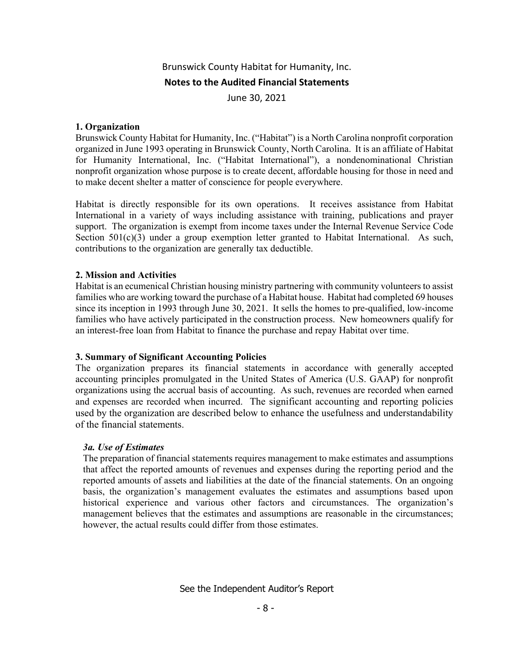June 30, 2021

#### **1. Organization**

Brunswick County Habitat for Humanity, Inc. ("Habitat") is a North Carolina nonprofit corporation organized in June 1993 operating in Brunswick County, North Carolina. It is an affiliate of Habitat for Humanity International, Inc. ("Habitat International"), a nondenominational Christian nonprofit organization whose purpose is to create decent, affordable housing for those in need and to make decent shelter a matter of conscience for people everywhere.

Habitat is directly responsible for its own operations. It receives assistance from Habitat International in a variety of ways including assistance with training, publications and prayer support. The organization is exempt from income taxes under the Internal Revenue Service Code Section  $501(c)(3)$  under a group exemption letter granted to Habitat International. As such, contributions to the organization are generally tax deductible.

#### **2. Mission and Activities**

Habitat is an ecumenical Christian housing ministry partnering with community volunteers to assist families who are working toward the purchase of a Habitat house. Habitat had completed 69 houses since its inception in 1993 through June 30, 2021. It sells the homes to pre-qualified, low-income families who have actively participated in the construction process. New homeowners qualify for an interest-free loan from Habitat to finance the purchase and repay Habitat over time.

#### **3. Summary of Significant Accounting Policies**

The organization prepares its financial statements in accordance with generally accepted accounting principles promulgated in the United States of America (U.S. GAAP) for nonprofit organizations using the accrual basis of accounting. As such, revenues are recorded when earned and expenses are recorded when incurred. The significant accounting and reporting policies used by the organization are described below to enhance the usefulness and understandability of the financial statements.

#### *3a. Use of Estimates*

The preparation of financial statements requires management to make estimates and assumptions that affect the reported amounts of revenues and expenses during the reporting period and the reported amounts of assets and liabilities at the date of the financial statements. On an ongoing basis, the organization's management evaluates the estimates and assumptions based upon historical experience and various other factors and circumstances. The organization's management believes that the estimates and assumptions are reasonable in the circumstances; however, the actual results could differ from those estimates.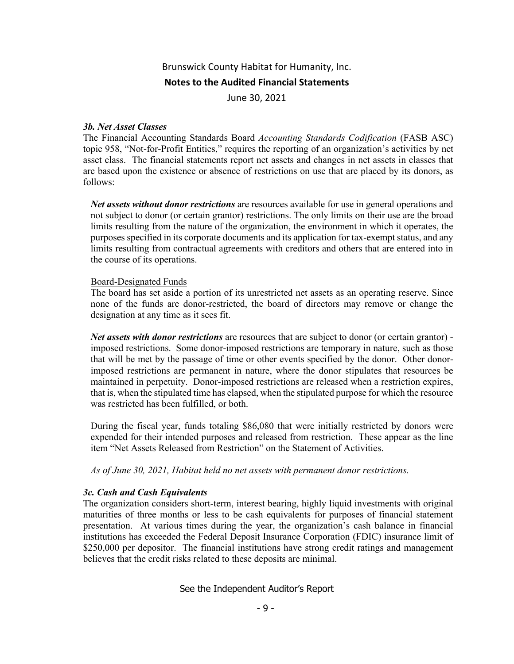June 30, 2021

#### *3b. Net Asset Classes*

The Financial Accounting Standards Board *Accounting Standards Codification* (FASB ASC) topic 958, "Not-for-Profit Entities," requires the reporting of an organization's activities by net asset class. The financial statements report net assets and changes in net assets in classes that are based upon the existence or absence of restrictions on use that are placed by its donors, as follows:

*Net assets without donor restrictions* are resources available for use in general operations and not subject to donor (or certain grantor) restrictions. The only limits on their use are the broad limits resulting from the nature of the organization, the environment in which it operates, the purposes specified in its corporate documents and its application for tax-exempt status, and any limits resulting from contractual agreements with creditors and others that are entered into in the course of its operations.

#### Board-Designated Funds

The board has set aside a portion of its unrestricted net assets as an operating reserve. Since none of the funds are donor-restricted, the board of directors may remove or change the designation at any time as it sees fit.

*Net assets with donor restrictions* are resources that are subject to donor (or certain grantor) imposed restrictions. Some donor-imposed restrictions are temporary in nature, such as those that will be met by the passage of time or other events specified by the donor. Other donorimposed restrictions are permanent in nature, where the donor stipulates that resources be maintained in perpetuity. Donor-imposed restrictions are released when a restriction expires, that is, when the stipulated time has elapsed, when the stipulated purpose for which the resource was restricted has been fulfilled, or both.

During the fiscal year, funds totaling \$86,080 that were initially restricted by donors were expended for their intended purposes and released from restriction. These appear as the line item "Net Assets Released from Restriction" on the Statement of Activities.

*As of June 30, 2021, Habitat held no net assets with permanent donor restrictions.* 

#### *3c. Cash and Cash Equivalents*

The organization considers short-term, interest bearing, highly liquid investments with original maturities of three months or less to be cash equivalents for purposes of financial statement presentation. At various times during the year, the organization's cash balance in financial institutions has exceeded the Federal Deposit Insurance Corporation (FDIC) insurance limit of \$250,000 per depositor. The financial institutions have strong credit ratings and management believes that the credit risks related to these deposits are minimal.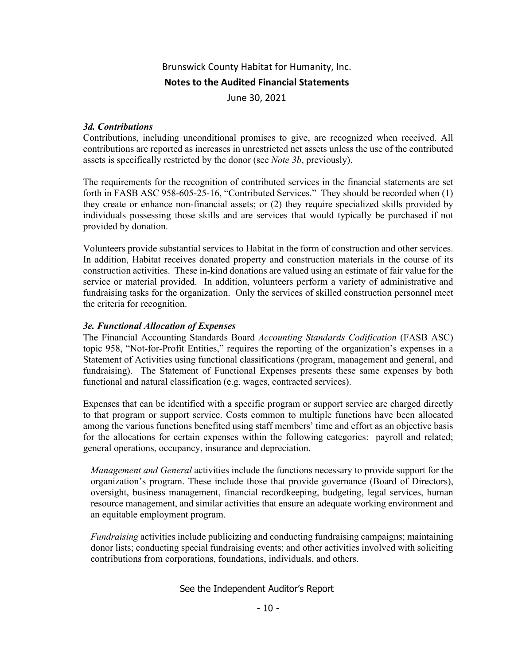June 30, 2021

#### *3d. Contributions*

Contributions, including unconditional promises to give, are recognized when received. All contributions are reported as increases in unrestricted net assets unless the use of the contributed assets is specifically restricted by the donor (see *Note 3b*, previously).

The requirements for the recognition of contributed services in the financial statements are set forth in FASB ASC 958-605-25-16, "Contributed Services." They should be recorded when (1) they create or enhance non-financial assets; or (2) they require specialized skills provided by individuals possessing those skills and are services that would typically be purchased if not provided by donation.

Volunteers provide substantial services to Habitat in the form of construction and other services. In addition, Habitat receives donated property and construction materials in the course of its construction activities. These in-kind donations are valued using an estimate of fair value for the service or material provided. In addition, volunteers perform a variety of administrative and fundraising tasks for the organization. Only the services of skilled construction personnel meet the criteria for recognition.

#### *3e. Functional Allocation of Expenses*

The Financial Accounting Standards Board *Accounting Standards Codification* (FASB ASC) topic 958, "Not-for-Profit Entities," requires the reporting of the organization's expenses in a Statement of Activities using functional classifications (program, management and general, and fundraising). The Statement of Functional Expenses presents these same expenses by both functional and natural classification (e.g. wages, contracted services).

Expenses that can be identified with a specific program or support service are charged directly to that program or support service. Costs common to multiple functions have been allocated among the various functions benefited using staff members' time and effort as an objective basis for the allocations for certain expenses within the following categories: payroll and related; general operations, occupancy, insurance and depreciation.

*Management and General* activities include the functions necessary to provide support for the organization's program. These include those that provide governance (Board of Directors), oversight, business management, financial recordkeeping, budgeting, legal services, human resource management, and similar activities that ensure an adequate working environment and an equitable employment program.

*Fundraising* activities include publicizing and conducting fundraising campaigns; maintaining donor lists; conducting special fundraising events; and other activities involved with soliciting contributions from corporations, foundations, individuals, and others.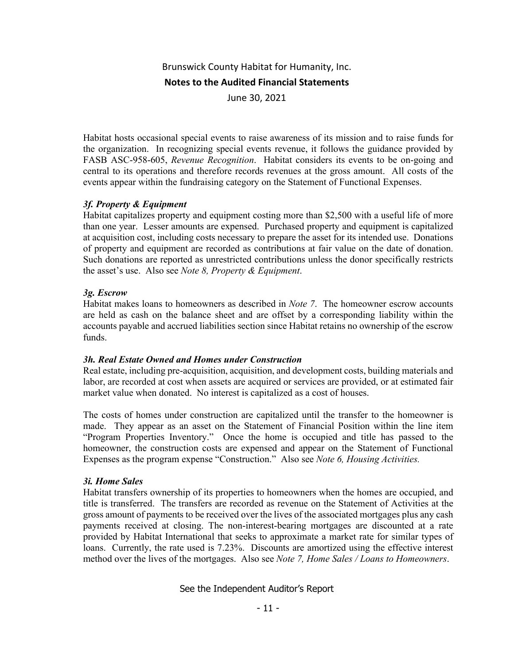June 30, 2021

Habitat hosts occasional special events to raise awareness of its mission and to raise funds for the organization. In recognizing special events revenue, it follows the guidance provided by FASB ASC-958-605, *Revenue Recognition*. Habitat considers its events to be on-going and central to its operations and therefore records revenues at the gross amount. All costs of the events appear within the fundraising category on the Statement of Functional Expenses.

#### *3f. Property & Equipment*

Habitat capitalizes property and equipment costing more than \$2,500 with a useful life of more than one year. Lesser amounts are expensed. Purchased property and equipment is capitalized at acquisition cost, including costs necessary to prepare the asset for its intended use. Donations of property and equipment are recorded as contributions at fair value on the date of donation. Such donations are reported as unrestricted contributions unless the donor specifically restricts the asset's use. Also see *Note 8, Property & Equipment*.

#### *3g. Escrow*

Habitat makes loans to homeowners as described in *Note 7*. The homeowner escrow accounts are held as cash on the balance sheet and are offset by a corresponding liability within the accounts payable and accrued liabilities section since Habitat retains no ownership of the escrow funds.

#### *3h. Real Estate Owned and Homes under Construction*

Real estate, including pre-acquisition, acquisition, and development costs, building materials and labor, are recorded at cost when assets are acquired or services are provided, or at estimated fair market value when donated. No interest is capitalized as a cost of houses.

The costs of homes under construction are capitalized until the transfer to the homeowner is made. They appear as an asset on the Statement of Financial Position within the line item "Program Properties Inventory." Once the home is occupied and title has passed to the homeowner, the construction costs are expensed and appear on the Statement of Functional Expenses as the program expense "Construction." Also see *Note 6, Housing Activities.*

#### *3i. Home Sales*

Habitat transfers ownership of its properties to homeowners when the homes are occupied, and title is transferred. The transfers are recorded as revenue on the Statement of Activities at the gross amount of payments to be received over the lives of the associated mortgages plus any cash payments received at closing. The non-interest-bearing mortgages are discounted at a rate provided by Habitat International that seeks to approximate a market rate for similar types of loans. Currently, the rate used is 7.23%. Discounts are amortized using the effective interest method over the lives of the mortgages. Also see *Note 7, Home Sales / Loans to Homeowners*.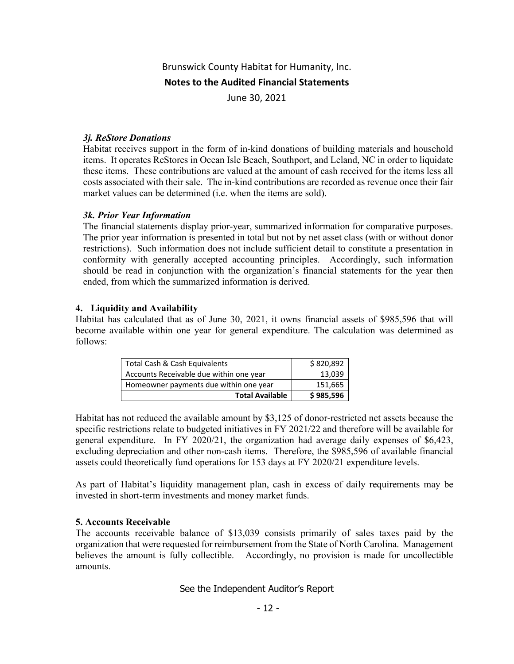June 30, 2021

#### *3j. ReStore Donations*

Habitat receives support in the form of in-kind donations of building materials and household items. It operates ReStores in Ocean Isle Beach, Southport, and Leland, NC in order to liquidate these items. These contributions are valued at the amount of cash received for the items less all costs associated with their sale. The in-kind contributions are recorded as revenue once their fair market values can be determined (i.e. when the items are sold).

#### *3k. Prior Year Information*

The financial statements display prior-year, summarized information for comparative purposes. The prior year information is presented in total but not by net asset class (with or without donor restrictions). Such information does not include sufficient detail to constitute a presentation in conformity with generally accepted accounting principles. Accordingly, such information should be read in conjunction with the organization's financial statements for the year then ended, from which the summarized information is derived.

#### **4. Liquidity and Availability**

Habitat has calculated that as of June 30, 2021, it owns financial assets of \$985,596 that will become available within one year for general expenditure. The calculation was determined as follows:

| Total Cash & Cash Equivalents           | \$820,892 |
|-----------------------------------------|-----------|
| Accounts Receivable due within one year | 13,039    |
| Homeowner payments due within one year  | 151,665   |
| <b>Total Available</b>                  | \$985,596 |

Habitat has not reduced the available amount by \$3,125 of donor-restricted net assets because the specific restrictions relate to budgeted initiatives in FY 2021/22 and therefore will be available for general expenditure. In FY 2020/21, the organization had average daily expenses of \$6,423, excluding depreciation and other non-cash items. Therefore, the \$985,596 of available financial assets could theoretically fund operations for 153 days at FY 2020/21 expenditure levels.

As part of Habitat's liquidity management plan, cash in excess of daily requirements may be invested in short-term investments and money market funds.

#### **5. Accounts Receivable**

The accounts receivable balance of \$13,039 consists primarily of sales taxes paid by the organization that were requested for reimbursement from the State of North Carolina. Management believes the amount is fully collectible. Accordingly, no provision is made for uncollectible amounts.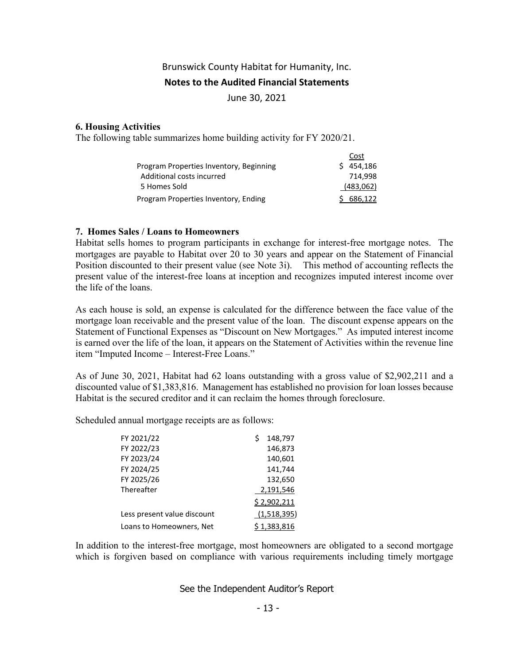#### **Notes to the Audited Financial Statements**

June 30, 2021

#### **6. Housing Activities**

The following table summarizes home building activity for FY 2020/21.

|                                         | Cost      |
|-----------------------------------------|-----------|
| Program Properties Inventory, Beginning | \$454.186 |
| Additional costs incurred               | 714.998   |
| 5 Homes Sold                            | (483,062) |
| Program Properties Inventory, Ending    | 686.122   |

#### **7. Homes Sales / Loans to Homeowners**

Habitat sells homes to program participants in exchange for interest-free mortgage notes. The mortgages are payable to Habitat over 20 to 30 years and appear on the Statement of Financial Position discounted to their present value (see Note 3i). This method of accounting reflects the present value of the interest-free loans at inception and recognizes imputed interest income over the life of the loans.

As each house is sold, an expense is calculated for the difference between the face value of the mortgage loan receivable and the present value of the loan. The discount expense appears on the Statement of Functional Expenses as "Discount on New Mortgages." As imputed interest income is earned over the life of the loan, it appears on the Statement of Activities within the revenue line item "Imputed Income – Interest-Free Loans."

As of June 30, 2021, Habitat had 62 loans outstanding with a gross value of \$2,902,211 and a discounted value of \$1,383,816. Management has established no provision for loan losses because Habitat is the secured creditor and it can reclaim the homes through foreclosure.

Scheduled annual mortgage receipts are as follows:

| FY 2021/22                  | 148,797     |
|-----------------------------|-------------|
| FY 2022/23                  | 146,873     |
| FY 2023/24                  | 140,601     |
| FY 2024/25                  | 141,744     |
| FY 2025/26                  | 132,650     |
| Thereafter                  | 2,191,546   |
|                             | \$2,902,211 |
| Less present value discount | (1,518,395) |
| Loans to Homeowners, Net    | \$1,383,816 |

In addition to the interest-free mortgage, most homeowners are obligated to a second mortgage which is forgiven based on compliance with various requirements including timely mortgage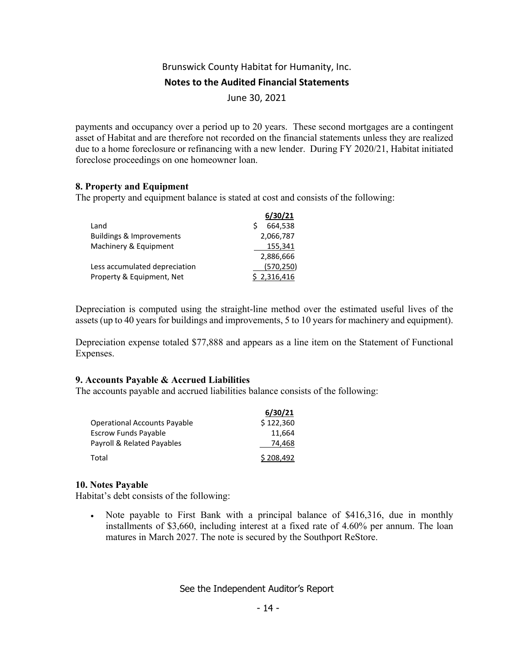June 30, 2021

payments and occupancy over a period up to 20 years. These second mortgages are a contingent asset of Habitat and are therefore not recorded on the financial statements unless they are realized due to a home foreclosure or refinancing with a new lender. During FY 2020/21, Habitat initiated foreclose proceedings on one homeowner loan.

#### **8. Property and Equipment**

The property and equipment balance is stated at cost and consists of the following:

|                               | 6/30/21     |
|-------------------------------|-------------|
| Land                          | 664.538     |
| Buildings & Improvements      | 2,066,787   |
| Machinery & Equipment         | 155,341     |
|                               | 2,886,666   |
| Less accumulated depreciation | (570, 250)  |
| Property & Equipment, Net     | \$2,316,416 |

Depreciation is computed using the straight-line method over the estimated useful lives of the assets (up to 40 years for buildings and improvements, 5 to 10 years for machinery and equipment).

Depreciation expense totaled \$77,888 and appears as a line item on the Statement of Functional Expenses.

#### **9. Accounts Payable & Accrued Liabilities**

The accounts payable and accrued liabilities balance consists of the following:

|                                     | 6/30/21   |  |
|-------------------------------------|-----------|--|
| <b>Operational Accounts Payable</b> | \$122,360 |  |
| <b>Escrow Funds Payable</b>         | 11.664    |  |
| Payroll & Related Payables          | 74.468    |  |
| Total                               | \$208.492 |  |

#### **10. Notes Payable**

Habitat's debt consists of the following:

 Note payable to First Bank with a principal balance of \$416,316, due in monthly installments of \$3,660, including interest at a fixed rate of 4.60% per annum. The loan matures in March 2027. The note is secured by the Southport ReStore.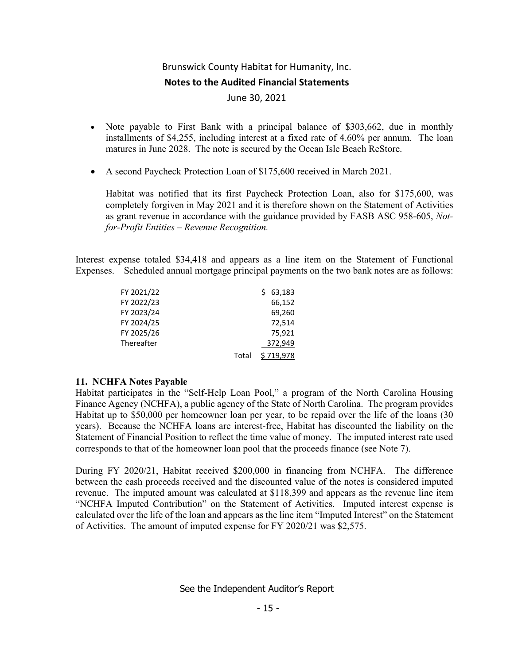June 30, 2021

- Note payable to First Bank with a principal balance of \$303,662, due in monthly installments of \$4,255, including interest at a fixed rate of 4.60% per annum. The loan matures in June 2028. The note is secured by the Ocean Isle Beach ReStore.
- A second Paycheck Protection Loan of \$175,600 received in March 2021.

Habitat was notified that its first Paycheck Protection Loan, also for \$175,600, was completely forgiven in May 2021 and it is therefore shown on the Statement of Activities as grant revenue in accordance with the guidance provided by FASB ASC 958-605, *Notfor-Profit Entities – Revenue Recognition.*

Interest expense totaled \$34,418 and appears as a line item on the Statement of Functional Expenses. Scheduled annual mortgage principal payments on the two bank notes are as follows:

| FY 2021/22 |       | 63,183    |
|------------|-------|-----------|
| FY 2022/23 |       | 66,152    |
| FY 2023/24 |       | 69,260    |
| FY 2024/25 |       | 72,514    |
| FY 2025/26 |       | 75,921    |
| Thereafter |       | 372,949   |
|            | Total | \$719,978 |

#### **11. NCHFA Notes Payable**

Habitat participates in the "Self-Help Loan Pool," a program of the North Carolina Housing Finance Agency (NCHFA), a public agency of the State of North Carolina. The program provides Habitat up to \$50,000 per homeowner loan per year, to be repaid over the life of the loans (30 years). Because the NCHFA loans are interest-free, Habitat has discounted the liability on the Statement of Financial Position to reflect the time value of money. The imputed interest rate used corresponds to that of the homeowner loan pool that the proceeds finance (see Note 7).

During FY 2020/21, Habitat received \$200,000 in financing from NCHFA. The difference between the cash proceeds received and the discounted value of the notes is considered imputed revenue. The imputed amount was calculated at \$118,399 and appears as the revenue line item "NCHFA Imputed Contribution" on the Statement of Activities. Imputed interest expense is calculated over the life of the loan and appears as the line item "Imputed Interest" on the Statement of Activities. The amount of imputed expense for FY 2020/21 was \$2,575.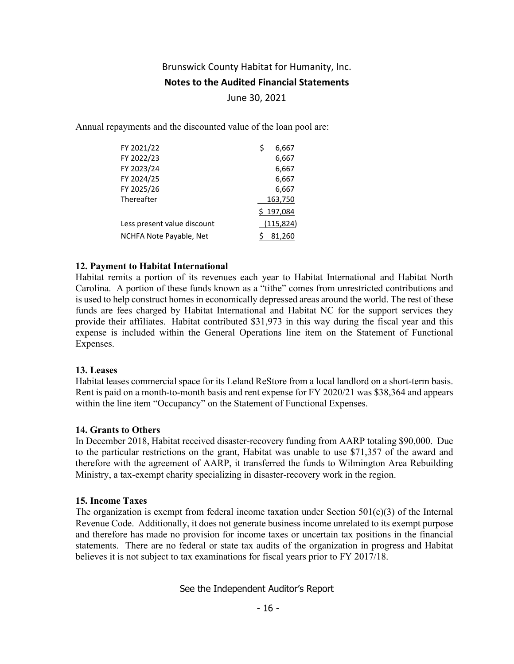#### **Notes to the Audited Financial Statements**

June 30, 2021

Annual repayments and the discounted value of the loan pool are:

| FY 2021/22                  | Ś | 6,667      |
|-----------------------------|---|------------|
| FY 2022/23                  |   | 6,667      |
| FY 2023/24                  |   | 6,667      |
| FY 2024/25                  |   | 6,667      |
| FY 2025/26                  |   | 6,667      |
| Thereafter                  |   | 163,750    |
|                             |   | \$197,084  |
| Less present value discount |   | (115, 824) |
| NCHFA Note Payable, Net     |   | 81,260     |

#### **12. Payment to Habitat International**

Habitat remits a portion of its revenues each year to Habitat International and Habitat North Carolina. A portion of these funds known as a "tithe" comes from unrestricted contributions and is used to help construct homes in economically depressed areas around the world. The rest of these funds are fees charged by Habitat International and Habitat NC for the support services they provide their affiliates. Habitat contributed \$31,973 in this way during the fiscal year and this expense is included within the General Operations line item on the Statement of Functional Expenses.

#### **13. Leases**

Habitat leases commercial space for its Leland ReStore from a local landlord on a short-term basis. Rent is paid on a month-to-month basis and rent expense for FY 2020/21 was \$38,364 and appears within the line item "Occupancy" on the Statement of Functional Expenses.

#### **14. Grants to Others**

In December 2018, Habitat received disaster-recovery funding from AARP totaling \$90,000. Due to the particular restrictions on the grant, Habitat was unable to use \$71,357 of the award and therefore with the agreement of AARP, it transferred the funds to Wilmington Area Rebuilding Ministry, a tax-exempt charity specializing in disaster-recovery work in the region.

#### **15. Income Taxes**

The organization is exempt from federal income taxation under Section  $501(c)(3)$  of the Internal Revenue Code. Additionally, it does not generate business income unrelated to its exempt purpose and therefore has made no provision for income taxes or uncertain tax positions in the financial statements. There are no federal or state tax audits of the organization in progress and Habitat believes it is not subject to tax examinations for fiscal years prior to FY 2017/18.